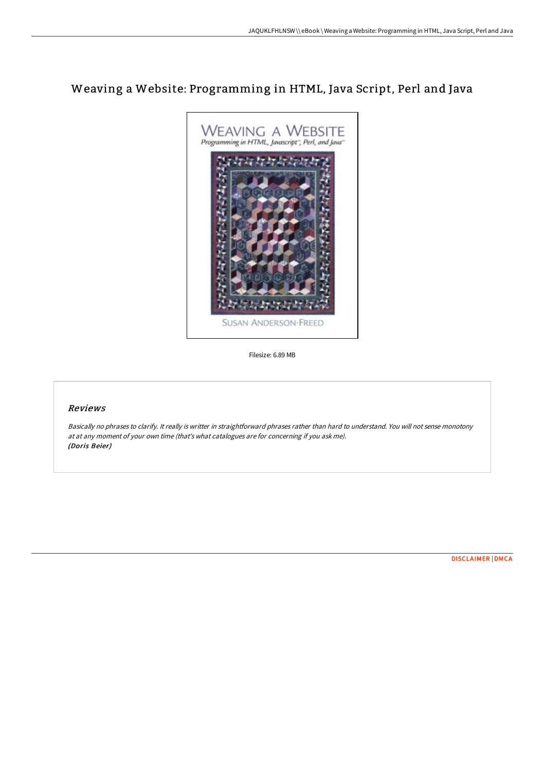# Weaving a Website: Programming in HTML, Java Script, Perl and Java



Filesize: 6.89 MB

## Reviews

Basically no phrases to clarify. It really is writter in straightforward phrases rather than hard to understand. You will not sense monotony at at any moment of your own time (that's what catalogues are for concerning if you ask me). (Doris Beier)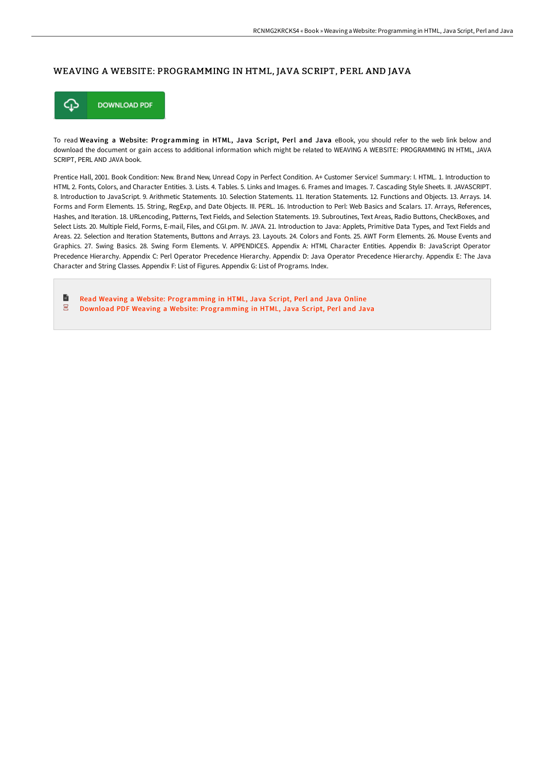#### WEAVING A WEBSITE: PROGRAMMING IN HTML, JAVA SCRIPT, PERL AND JAVA



To read Weaving a Website: Programming in HTML, Java Script, Perl and Java eBook, you should refer to the web link below and download the document or gain access to additional information which might be related to WEAVING A WEBSITE: PROGRAMMING IN HTML, JAVA SCRIPT, PERL AND JAVA book.

Prentice Hall, 2001. Book Condition: New. Brand New, Unread Copy in Perfect Condition. A+ Customer Service! Summary: I. HTML. 1. Introduction to HTML 2. Fonts, Colors, and Character Entities. 3. Lists. 4. Tables. 5. Links and Images. 6. Frames and Images. 7. Cascading Style Sheets. II. JAVASCRIPT. 8. Introduction to JavaScript. 9. Arithmetic Statements. 10. Selection Statements. 11. Iteration Statements. 12. Functions and Objects. 13. Arrays. 14. Forms and Form Elements. 15. String, RegExp, and Date Objects. III. PERL. 16. Introduction to Perl: Web Basics and Scalars. 17. Arrays, References, Hashes, and Iteration. 18. URLencoding, Patterns, Text Fields, and Selection Statements. 19. Subroutines, Text Areas, Radio Buttons, CheckBoxes, and Select Lists. 20. Multiple Field, Forms, E-mail, Files, and CGI.pm. IV. JAVA. 21. Introduction to Java: Applets, Primitive Data Types, and Text Fields and Areas. 22. Selection and Iteration Statements, Buttons and Arrays. 23. Layouts. 24. Colors and Fonts. 25. AWT Form Elements. 26. Mouse Events and Graphics. 27. Swing Basics. 28. Swing Form Elements. V. APPENDICES. Appendix A: HTML Character Entities. Appendix B: JavaScript Operator Precedence Hierarchy. Appendix C: Perl Operator Precedence Hierarchy. Appendix D: Java Operator Precedence Hierarchy. Appendix E: The Java Character and String Classes. Appendix F: List of Figures. Appendix G: List of Programs. Index.

 $\blacksquare$ Read Weaving a Website: [Programming](http://digilib.live/weaving-a-website-programming-in-html-java-scrip.html) in HTML, Java Script, Perl and Java Online  $\overline{\phantom{a}}^{\rm ps}$ Download PDF Weaving a Website: [Programming](http://digilib.live/weaving-a-website-programming-in-html-java-scrip.html) in HTML, Java Script, Perl and Java